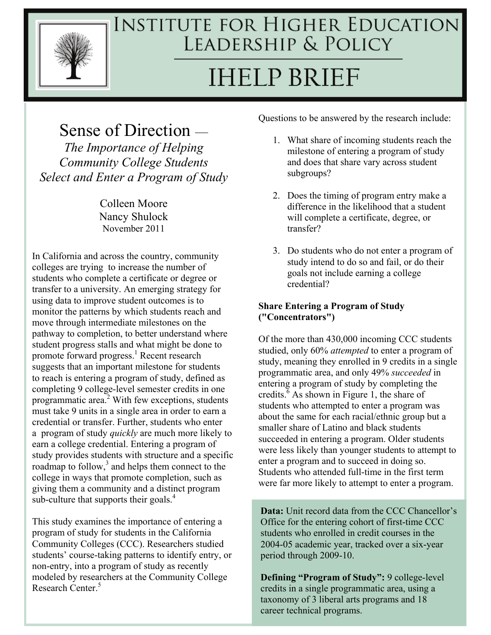

# **INSTITUTE FOR HIGHER EDUCATION** LEADERSHIP & POLICY **IHELP BRIEF**

# Sense of Direction —

*The Importance of Helping Community College Students Select and Enter a Program of Study* 

> Colleen Moore Nancy Shulock November 2011

In California and across the country, community colleges are trying to increase the number of students who complete a certificate or degree or transfer to a university. An emerging strategy for using data to improve student outcomes is to monitor the patterns by which students reach and move through intermediate milestones on the pathway to completion, to better understand where student progress stalls and what might be done to promote forward progress.<sup>1</sup> Recent research suggests that an important milestone for students to reach is entering a program of study, defined as completing 9 college-level semester credits in one programmatic area. $2$  With few exceptions, students must take 9 units in a single area in order to earn a credential or transfer. Further, students who enter a program of study *quickly* are much more likely to earn a college credential. Entering a program of study provides students with structure and a specific roadmap to follow, $3$  and helps them connect to the college in ways that promote completion, such as giving them a community and a distinct program sub-culture that supports their goals.<sup>4</sup>

This study examines the importance of entering a program of study for students in the California Community Colleges (CCC). Researchers studied students' course-taking patterns to identify entry, or non-entry, into a program of study as recently modeled by researchers at the Community College Research Center.<sup>5</sup>

Questions to be answered by the research include:

- 1. What share of incoming students reach the milestone of entering a program of study and does that share vary across student subgroups?
- 2. Does the timing of program entry make a difference in the likelihood that a student will complete a certificate, degree, or transfer?
- 3. Do students who do not enter a program of study intend to do so and fail, or do their goals not include earning a college credential?

#### **Share Entering a Program of Study ("Concentrators")**

Of the more than 430,000 incoming CCC students studied, only 60% *attempted* to enter a program of study, meaning they enrolled in 9 credits in a single programmatic area, and only 49% *succeeded* in entering a program of study by completing the credits. $6$  As shown in Figure 1, the share of students who attempted to enter a program was about the same for each racial/ethnic group but a smaller share of Latino and black students succeeded in entering a program. Older students were less likely than younger students to attempt to enter a program and to succeed in doing so. Students who attended full-time in the first term were far more likely to attempt to enter a program.

**Data:** Unit record data from the CCC Chancellor's Office for the entering cohort of first-time CCC students who enrolled in credit courses in the 2004-05 academic year, tracked over a six-year period through 2009-10.

**Defining "Program of Study":** 9 college-level credits in a single programmatic area, using a taxonomy of 3 liberal arts programs and 18 career technical programs.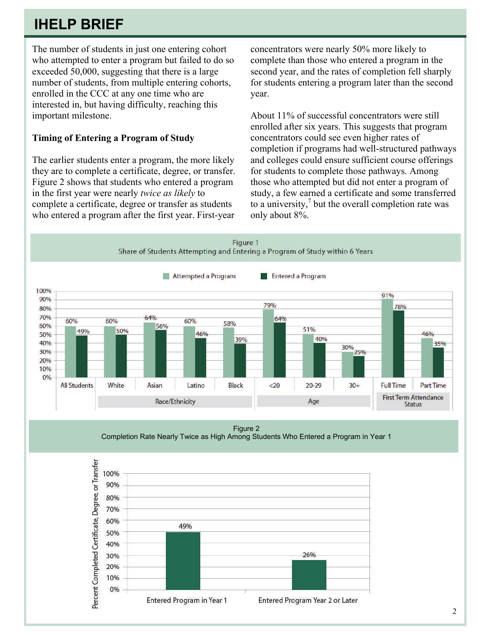## **IHELP BRIEF**

The number of students in just one entering cohort who attempted to enter a program but failed to do so exceeded 50,000, suggesting that there is a large number of students, from multiple entering cohorts, enrolled in the CCC at any one time who are interested in, but having difficulty, reaching this important milestone.

#### **Timing of Entering a Program of Study**

The earlier students enter a program, the more likely they are to complete a certificate, degree, or transfer. Figure 2 shows that students who entered a program in the first year were nearly *twice as likely* to complete a certificate, degree or transfer as students who entered a program after the first year. First-year concentrators were nearly 50% more likely to complete than those who entered a program in the second year, and the rates of completion fell sharply for students entering a program later than the second year.

About 11% of successful concentrators were still enrolled after six years. This suggests that program concentrators could see even higher rates of completion if programs had well-structured pathways and colleges could ensure sufficient course offerings for students to complete those pathways. Among those who attempted but did not enter a program of study, a few earned a certificate and some transferred to a university, $\frac{7}{7}$  but the overall completion rate was only about 8%.



Figure 2 Completion Rate Nearly Twice as High Among Students Who Entered a Program in Year 1

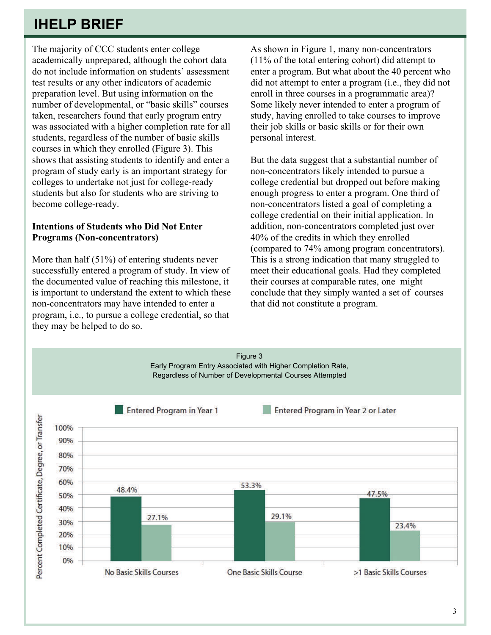## **IHELP BRIEF**

The majority of CCC students enter college academically unprepared, although the cohort data do not include information on students' assessment test results or any other indicators of academic preparation level. But using information on the number of developmental, or "basic skills" courses taken, researchers found that early program entry was associated with a higher completion rate for all students, regardless of the number of basic skills courses in which they enrolled (Figure 3). This shows that assisting students to identify and enter a program of study early is an important strategy for colleges to undertake not just for college-ready students but also for students who are striving to become college-ready.

#### **Intentions of Students who Did Not Enter Programs (Non-concentrators)**

More than half (51%) of entering students never successfully entered a program of study. In view of the documented value of reaching this milestone, it is important to understand the extent to which these non-concentrators may have intended to enter a program, i.e., to pursue a college credential, so that they may be helped to do so.

As shown in Figure 1, many non-concentrators (11% of the total entering cohort) did attempt to enter a program. But what about the 40 percent who did not attempt to enter a program (i.e., they did not enroll in three courses in a programmatic area)? Some likely never intended to enter a program of study, having enrolled to take courses to improve their job skills or basic skills or for their own personal interest.

But the data suggest that a substantial number of non-concentrators likely intended to pursue a college credential but dropped out before making enough progress to enter a program. One third of non-concentrators listed a goal of completing a college credential on their initial application. In addition, non-concentrators completed just over 40% of the credits in which they enrolled (compared to 74% among program concentrators). This is a strong indication that many struggled to meet their educational goals. Had they completed their courses at comparable rates, one might conclude that they simply wanted a set of courses that did not constitute a program.